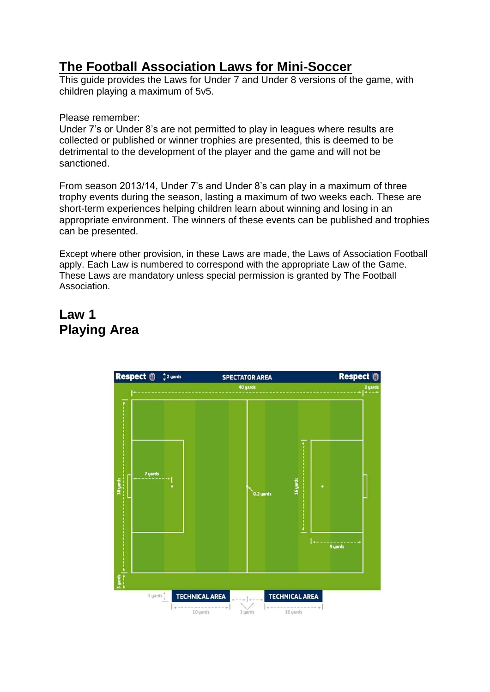## **The Football Association Laws for Mini-Soccer**

This guide provides the Laws for Under 7 and Under 8 versions of the game, with children playing a maximum of 5v5.

#### Please remember:

Under 7's or Under 8's are not permitted to play in leagues where results are collected or published or winner trophies are presented, this is deemed to be detrimental to the development of the player and the game and will not be sanctioned.

From season 2013/14, Under 7's and Under 8's can play in a maximum of three trophy events during the season, lasting a maximum of two weeks each. These are short-term experiences helping children learn about winning and losing in an appropriate environment. The winners of these events can be published and trophies can be presented.

Except where other provision, in these Laws are made, the Laws of Association Football apply. Each Law is numbered to correspond with the appropriate Law of the Game. These Laws are mandatory unless special permission is granted by The Football Association.

### **Law 1 Playing Area**

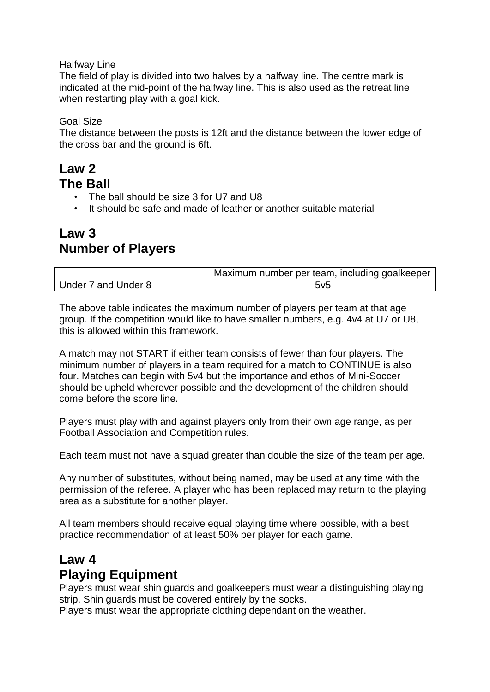Halfway Line

The field of play is divided into two halves by a halfway line. The centre mark is indicated at the mid-point of the halfway line. This is also used as the retreat line when restarting play with a goal kick.

Goal Size

The distance between the posts is 12ft and the distance between the lower edge of the cross bar and the ground is 6ft.

#### **Law 2 The Ball**

- The ball should be size 3 for U7 and U8
- It should be safe and made of leather or another suitable material

### **Law 3 Number of Players**

|                     | Maximum number per team, including goalkeeper |
|---------------------|-----------------------------------------------|
| Under 7 and Under 8 | 5v5                                           |

The above table indicates the maximum number of players per team at that age group. If the competition would like to have smaller numbers, e.g. 4v4 at U7 or U8, this is allowed within this framework.

A match may not START if either team consists of fewer than four players. The minimum number of players in a team required for a match to CONTINUE is also four. Matches can begin with 5v4 but the importance and ethos of Mini-Soccer should be upheld wherever possible and the development of the children should come before the score line.

Players must play with and against players only from their own age range, as per Football Association and Competition rules.

Each team must not have a squad greater than double the size of the team per age.

Any number of substitutes, without being named, may be used at any time with the permission of the referee. A player who has been replaced may return to the playing area as a substitute for another player.

All team members should receive equal playing time where possible, with a best practice recommendation of at least 50% per player for each game.

# **Law 4 Playing Equipment**

Players must wear shin guards and goalkeepers must wear a distinguishing playing strip. Shin guards must be covered entirely by the socks.

Players must wear the appropriate clothing dependant on the weather.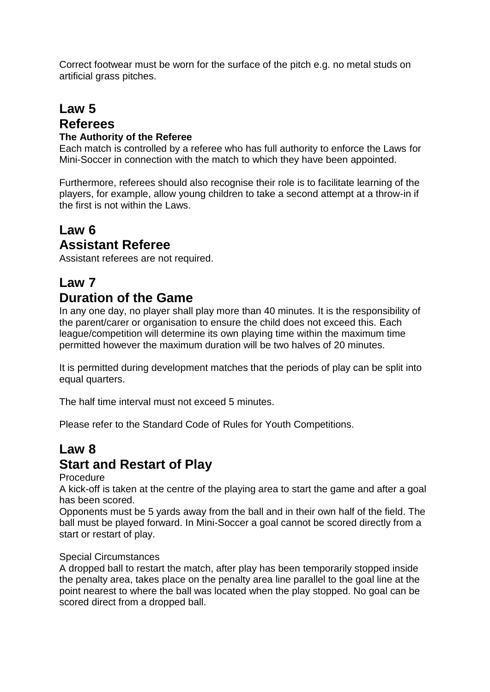Correct footwear must be worn for the surface of the pitch e.g. no metal studs on artificial grass pitches.

#### **Law 5 Referees The Authority of the Referee**

Each match is controlled by a referee who has full authority to enforce the Laws for Mini-Soccer in connection with the match to which they have been appointed.

Furthermore, referees should also recognise their role is to facilitate learning of the players, for example, allow young children to take a second attempt at a throw-in if the first is not within the Laws.

# **Law 6 Assistant Referee**

Assistant referees are not required.

# **Law 7 Duration of the Game**

In any one day, no player shall play more than 40 minutes. It is the responsibility of the parent/carer or organisation to ensure the child does not exceed this. Each league/competition will determine its own playing time within the maximum time permitted however the maximum duration will be two halves of 20 minutes.

It is permitted during development matches that the periods of play can be split into equal quarters.

The half time interval must not exceed 5 minutes.

Please refer to the Standard Code of Rules for Youth Competitions.

# **Law 8 Start and Restart of Play**

#### **Procedure**

A kick-off is taken at the centre of the playing area to start the game and after a goal has been scored.

Opponents must be 5 yards away from the ball and in their own half of the field. The ball must be played forward. In Mini-Soccer a goal cannot be scored directly from a start or restart of play.

#### Special Circumstances

A dropped ball to restart the match, after play has been temporarily stopped inside the penalty area, takes place on the penalty area line parallel to the goal line at the point nearest to where the ball was located when the play stopped. No goal can be scored direct from a dropped ball.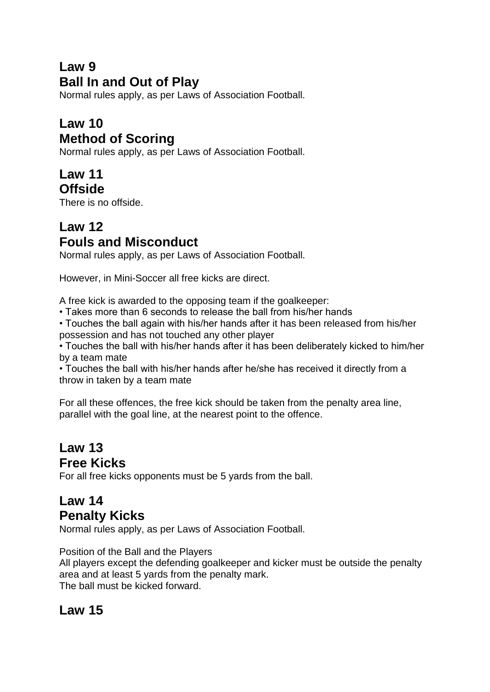# **Law 9 Ball In and Out of Play**

Normal rules apply, as per Laws of Association Football.

# **Law 10 Method of Scoring**

Normal rules apply, as per Laws of Association Football.

#### **Law 11 Offside**

There is no offside.

# **Law 12 Fouls and Misconduct**

Normal rules apply, as per Laws of Association Football.

However, in Mini-Soccer all free kicks are direct.

A free kick is awarded to the opposing team if the goalkeeper:

• Takes more than 6 seconds to release the ball from his/her hands

• Touches the ball again with his/her hands after it has been released from his/her possession and has not touched any other player

• Touches the ball with his/her hands after it has been deliberately kicked to him/her by a team mate

• Touches the ball with his/her hands after he/she has received it directly from a throw in taken by a team mate

For all these offences, the free kick should be taken from the penalty area line, parallel with the goal line, at the nearest point to the offence.

# **Law 13 Free Kicks**

For all free kicks opponents must be 5 yards from the ball.

# **Law 14 Penalty Kicks**

Normal rules apply, as per Laws of Association Football.

Position of the Ball and the Players

All players except the defending goalkeeper and kicker must be outside the penalty area and at least 5 yards from the penalty mark. The ball must be kicked forward.

# **Law 15**